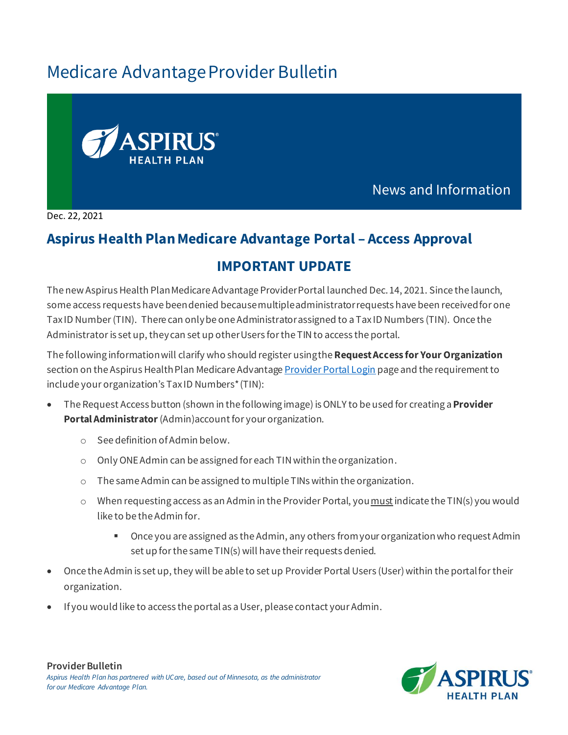# Medicare Advantage Provider Bulletin



News and Information

Dec. 22, 2021

## **Aspirus Health Plan Medicare Advantage Portal – Access Approval**

## **IMPORTANT UPDATE**

The new Aspirus Health Plan Medicare Advantage Provider Portal launched Dec. 14, 2021. Since the launch, some access requests have been denied because multiple administrator requests have been received for one Tax ID Number (TIN). There can only be one Administrator assigned to a Tax ID Numbers (TIN). Once the Administratoris set up, they can set up otherUsers for the TIN to access the portal.

The following information will clarify who should register usingthe**Request Access for Your Organization** section on the Aspirus Health Plan Medicare Advantage Provider [Portal Login](https://www.aspirushealthplan.com/medicare/providers/login/) page and the requirement to include your organization's Tax ID Numbers\*(TIN):

- The Request Access button (shown in the following image) is ONLY to be used for creating a **Provider Portal Administrator**(Admin)account for your organization.
	- o See definition of Admin below.
	- o Only ONE Admin can be assigned for each TIN within the organization.
	- o The same Admin can be assigned to multiple TINs within the organization.
	- $\circ$  When requesting access as an Admin in the Provider Portal, you must indicate the TIN(s) you would like to be the Admin for.
		- Once you are assigned as the Admin, any others from your organization who request Admin set up for the same TIN(s) will have their requests denied.
- Once the Admin is set up, they will be able to set up Provider Portal Users (User)within the portal for their organization.
- If you would like to access the portal as a User, please contact your Admin.